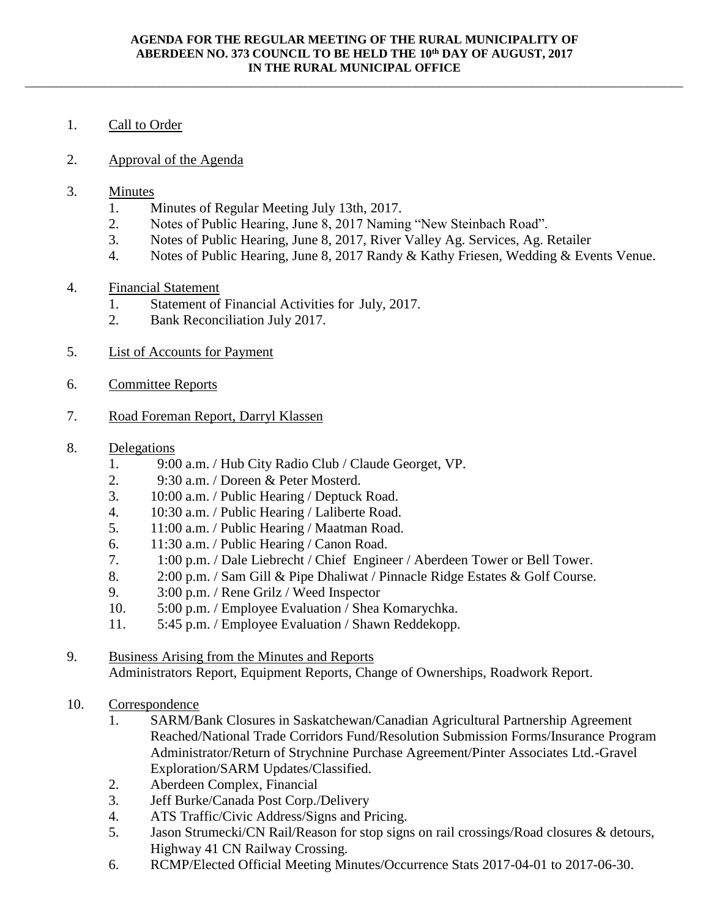\_\_\_\_\_\_\_\_\_\_\_\_\_\_\_\_\_\_\_\_\_\_\_\_\_\_\_\_\_\_\_\_\_\_\_\_\_\_\_\_\_\_\_\_\_\_\_\_\_\_\_\_\_\_\_\_\_\_\_\_\_\_\_\_\_\_\_\_\_\_\_\_\_\_\_\_\_\_\_\_\_\_\_\_\_\_\_\_\_\_\_\_\_\_\_\_\_\_\_\_\_\_\_\_\_\_\_\_

## 1. Call to Order

- 2. Approval of the Agenda
- 3. Minutes
	- 1. Minutes of Regular Meeting July 13th, 2017.
	- 2. Notes of Public Hearing, June 8, 2017 Naming "New Steinbach Road".
	- 3. Notes of Public Hearing, June 8, 2017, River Valley Ag. Services, Ag. Retailer
	- 4. Notes of Public Hearing, June 8, 2017 Randy & Kathy Friesen, Wedding & Events Venue.

## 4. Financial Statement

- 1. Statement of Financial Activities for July, 2017.
- 2. Bank Reconciliation July 2017.
- 5. List of Accounts for Payment
- 6. Committee Reports
- 7. Road Foreman Report, Darryl Klassen

## 8. Delegations

- 1. 9:00 a.m. / Hub City Radio Club / Claude Georget, VP.
- 2. 9:30 a.m. / Doreen & Peter Mosterd.
- 3. 10:00 a.m. / Public Hearing / Deptuck Road.
- 4. 10:30 a.m. / Public Hearing / Laliberte Road.
- 5. 11:00 a.m. / Public Hearing / Maatman Road.
- 6. 11:30 a.m. / Public Hearing / Canon Road.
- 7. 1:00 p.m. / Dale Liebrecht / Chief Engineer / Aberdeen Tower or Bell Tower.
- 8. 2:00 p.m. / Sam Gill & Pipe Dhaliwat / Pinnacle Ridge Estates & Golf Course.
- 9. 3:00 p.m. / Rene Grilz / Weed Inspector
- 10. 5:00 p.m. / Employee Evaluation / Shea Komarychka.
- 11. 5:45 p.m. / Employee Evaluation / Shawn Reddekopp.
- 9. Business Arising from the Minutes and Reports Administrators Report, Equipment Reports, Change of Ownerships, Roadwork Report.
- 10. Correspondence
	- 1. SARM/Bank Closures in Saskatchewan/Canadian Agricultural Partnership Agreement Reached/National Trade Corridors Fund/Resolution Submission Forms/Insurance Program Administrator/Return of Strychnine Purchase Agreement/Pinter Associates Ltd.-Gravel Exploration/SARM Updates/Classified.
	- 2. Aberdeen Complex, Financial
	- 3. Jeff Burke/Canada Post Corp./Delivery
	- 4. ATS Traffic/Civic Address/Signs and Pricing.
	- 5. Jason Strumecki/CN Rail/Reason for stop signs on rail crossings/Road closures & detours, Highway 41 CN Railway Crossing.
	- 6. RCMP/Elected Official Meeting Minutes/Occurrence Stats 2017-04-01 to 2017-06-30.